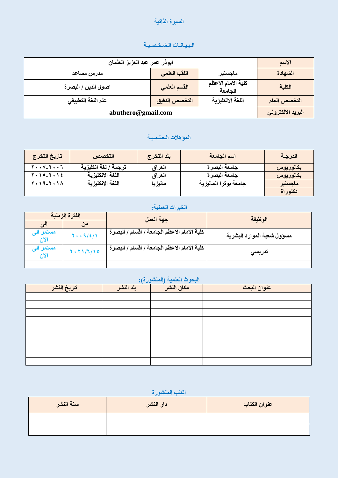#### السيرة الذاتية

### **انـثـيـاَـاخ انـشـخـصـيـح**

| ابوذر عمر عبد العزيز العثمان |               |                               | الاسم             |
|------------------------------|---------------|-------------------------------|-------------------|
| مدرس مساعد                   | اللقب العلمى  | ماجستير                       | الشهادة           |
| اصول الدين / البصرة          | القسم العلمي  | كلية الامام الاعظم<br>الجامعة | الكلية            |
| علم اللغة التطبيقي           | التخصص الدقيق | اللغة الانكليزية              | التخصص العام      |
| abuthero@gmail.com           |               |                               | البريد الالكتروني |

# **انًؤهالخ انـعـهـًـيـح**

| تاريخ التخرج              | التخصص               | ابلد التخرج | اسم الجامعة           | الدرجة    |
|---------------------------|----------------------|-------------|-----------------------|-----------|
| $Y \cdot Y - Y \cdot Y$   | ترجمة / لغة انكليزية | العراق      | جامعة البصرة          | بكالوريوس |
| $7.10 - 7.12$             | اللغة الانكليزية     | العراق      | جامعة البصرة          | بكالوريوس |
| $Y \cdot 19 - Y \cdot 10$ | اللغة الانكليزية     | ماليزيا     | جامعة بوترا الماليزية | ماجستير   |
|                           |                      |             |                       | دكتوراة   |

# ا<mark>لخبرات العملية:</mark>

|                  | الفترة الزمنية        | جهة العمل                                    | الوظيفة                    |
|------------------|-----------------------|----------------------------------------------|----------------------------|
|                  | من                    |                                              |                            |
| مستمر ا<br>الان  | $Y \cdot . 9 / 2 / 1$ | كلية الامام الاعظم الجامعة / اقسام / البصر ة | مسوول شعبة الموارد البشرية |
| مستمر ال<br>الان | Y. Y1/7/10            | كلية الامام الاعظم الجامعة / اقسام / البصرة  | تدريسى                     |
|                  |                       |                                              |                            |

## ا<mark>لبحوث العلمية (المنشورة):</mark>

| تاريخ النشر | بلد النشر | مكان النشر | عنوان البحث |
|-------------|-----------|------------|-------------|
|             |           |            |             |
|             |           |            |             |
|             |           |            |             |
|             |           |            |             |
|             |           |            |             |
|             |           |            |             |
|             |           |            |             |
|             |           |            |             |
|             |           |            |             |

# الكتب المنشورة

| سنة النشر | دار النشر | عنوان الكتاب |
|-----------|-----------|--------------|
|           |           |              |
|           |           |              |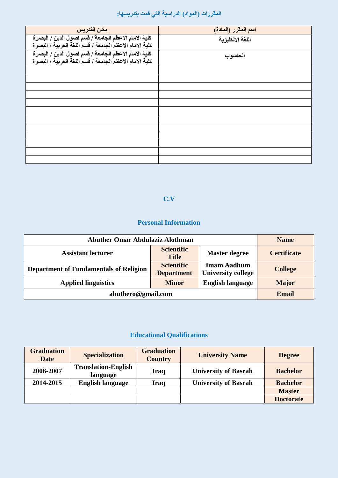# ا<mark>لمق</mark>ررات (المواد) الدراسية التي قمت بتدريسها:

| مكان التدريس                                            | اسم المقرر (المادة) |
|---------------------------------------------------------|---------------------|
| كلية الامام الاعظم الجامعة / قسم اصول الدين / البصرة    | اللغة الانكليزية    |
| كلية الامام الاعظم الجامعة / قسم اللغة العربية / البصرة |                     |
| كلية الامام الاعظم الجامعة / فسم اصول الدين / البصرة    | الحاسوب             |
| كلية الامام الاعظم الجامعة / قسم اللغة العربية / البصرة |                     |
|                                                         |                     |
|                                                         |                     |
|                                                         |                     |
|                                                         |                     |
|                                                         |                     |
|                                                         |                     |
|                                                         |                     |
|                                                         |                     |
|                                                         |                     |
|                                                         |                     |
|                                                         |                     |
|                                                         |                     |

#### **C.V**

## **Personal Information**

| <b>Abuther Omar Abdulaziz Alothman</b>                                                  |                                   |                                                 | <b>Name</b>        |
|-----------------------------------------------------------------------------------------|-----------------------------------|-------------------------------------------------|--------------------|
| <b>Assistant lecturer</b>                                                               | <b>Scientific</b><br><b>Title</b> | <b>Master degree</b>                            | <b>Certificate</b> |
| <b>Scientific</b><br><b>Department of Fundamentals of Religion</b><br><b>Department</b> |                                   | <b>Imam Aadhum</b><br><b>University college</b> | <b>College</b>     |
| <b>English language</b><br><b>Applied linguistics</b><br><b>Minor</b>                   |                                   |                                                 | <b>Major</b>       |
| abuthero@gmail.com                                                                      |                                   |                                                 | <b>Email</b>       |

# **Educational Qualifications**

| <b>Graduation</b><br><b>Date</b> | <b>Specialization</b>                  | <b>Graduation</b><br><b>Country</b> | <b>University Name</b>      | <b>Degree</b>    |
|----------------------------------|----------------------------------------|-------------------------------------|-----------------------------|------------------|
| 2006-2007                        | <b>Translation-English</b><br>language | Iraq                                | <b>University of Basrah</b> | <b>Bachelor</b>  |
| 2014-2015                        | <b>English language</b>                | Iraq                                | <b>University of Basrah</b> | <b>Bachelor</b>  |
|                                  |                                        |                                     |                             | <b>Master</b>    |
|                                  |                                        |                                     |                             | <b>Doctorate</b> |